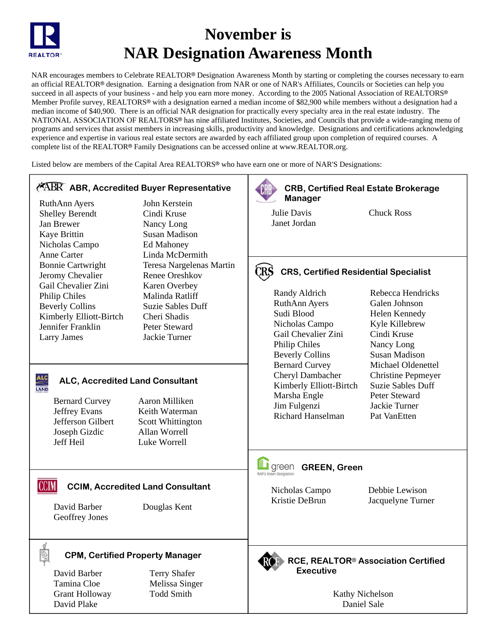

# **November is NAR Designation Awareness Month**

NAR encourages members to Celebrate REALTOR® Designation Awareness Month by starting or completing the courses necessary to earn an official REALTOR® designation. Earning a designation from NAR or one of NAR's Affiliates, Councils or Societies can help you succeed in all aspects of your business - and help you earn more money. According to the 2005 National Association of REALTORS® Member Profile survey, REALTORS® with a designation earned a median income of \$82,900 while members without a designation had a median income of \$40,900. There is an official NAR designation for practically every specialty area in the real estate industry. The NATIONAL ASSOCIATION OF REALTORS<sup>®</sup> has nine affiliated Institutes, Societies, and Councils that provide a wide-ranging menu of programs and services that assist members in increasing skills, productivity and knowledge. Designations and certifications acknowledging experience and expertise in various real estate sectors are awarded by each affiliated group upon completion of required courses. A complete list of the REALTOR® Family Designations can be accessed online at www.REALTOR.org.

Listed below are members of the Capital Area REALTORS<sup>®</sup> who have earn one or more of NAR'S Designations:

## **ABR, Accredited Buyer Representative**

RuthAnn Ayers Shelley Berendt Jan Brewer Kaye Brittin Nicholas Campo Anne Carter Bonnie Cartwright Jeromy Chevalier Gail Chevalier Zini Philip Chiles Beverly Collins Kimberly Elliott-Birtch Jennifer Franklin Larry James

John Kerstein Cindi Kruse Nancy Long Susan Madison Ed Mahoney Linda McDermith Teresa Nargelenas Martin Renee Oreshkov Karen Overbey Malinda Ratliff Suzie Sables Duff Cheri Shadis Peter Steward Jackie Turner

#### **ALC ALC, Accredited Land Consultant TAND**

Bernard Curvey Jeffrey Evans Jefferson Gilbert Joseph Gizdic Jeff Heil

Aaron Milliken Keith Waterman Scott Whittington Allan Worrell Luke Worrell

## **CCIM, Accredited Land Consultant**

David Barber Geoffrey Jones

**CCIM** 

Douglas Kent

#### **CPM, Certified Property Manager**

David Barber Tamina Cloe Grant Holloway David Plake

Terry Shafer Melissa Singer Todd Smith



## **GREEN, Green**

Nicholas Campo Kristie DeBrun

Bernard Curvey Cheryl Dambacher Kimberly Elliott-Birtch

Marsha Engle Jim Fulgenzi Richard Hanselman

> Debbie Lewison Jacquelyne Turner

Michael Oldenettel Christine Pepmeyer Suzie Sables Duff Peter Steward Jackie Turner Pat VanEtten

**RCE, REALTOR**7 **Association Certified Executive** 

> Kathy Nichelson Daniel Sale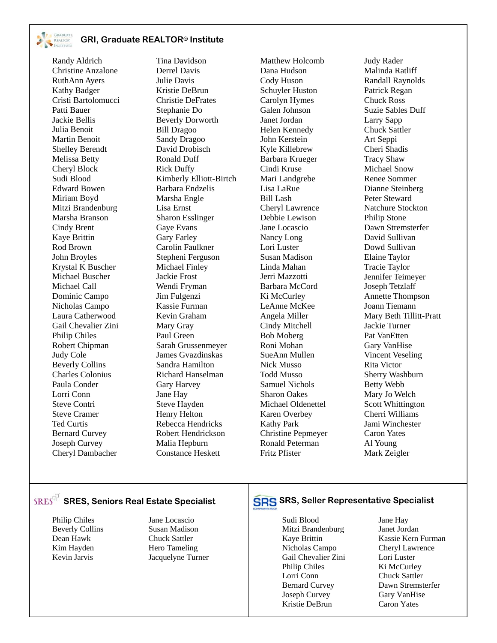

#### **GRI, Graduate REALTOR**7 **Institute**

Randy Aldrich Christine Anzalone RuthAnn Ayers Kathy Badger Cristi Bartolomucci Patti Bauer Jackie Bellis Julia Benoit Martin Benoit Shelley Berendt Melissa Betty Cheryl Block Sudi Blood Edward Bowen Miriam Boyd Mitzi Brandenburg Marsha Branson Cindy Brent Kaye Brittin Rod Brown John Broyles Krystal K Buscher Michael Buscher Michael Call Dominic Campo Nicholas Campo Laura Catherwood Gail Chevalier Zini Philip Chiles Robert Chipman Judy Cole Beverly Collins Charles Colonius Paula Conder Lorri Conn Steve Contri Steve Cramer Ted Curtis Bernard Curvey Joseph Curvey Cheryl Dambacher

Tina Davidson Derrel Davis Julie Davis Kristie DeBrun Christie DeFrates Stephanie Do Beverly Dorworth Bill Dragoo Sandy Dragoo David Drobisch Ronald Duff Rick Duffy Kimberly Elliott-Birtch Barbara Endzelis Marsha Engle Lisa Ernst Sharon Esslinger Gaye Evans Gary Farley Carolin Faulkner Stepheni Ferguson Michael Finley Jackie Frost Wendi Fryman Jim Fulgenzi Kassie Furman Kevin Graham Mary Gray Paul Green Sarah Grussenmeyer James Gvazdinskas Sandra Hamilton Richard Hanselman Gary Harvey Jane Hay Steve Hayden Henry Helton Rebecca Hendricks Robert Hendrickson Malia Hepburn Constance Heskett

Matthew Holcomb Dana Hudson Cody Huson Schuyler Huston Carolyn Hymes Galen Johnson Janet Jordan Helen Kennedy John Kerstein Kyle Killebrew Barbara Krueger Cindi Kruse Mari Landgrebe Lisa LaRue Bill Lash Cheryl Lawrence Debbie Lewison Jane Locascio Nancy Long Lori Luster Susan Madison Linda Mahan Jerri Mazzotti Barbara McCord Ki McCurley LeAnne McKee Angela Miller Cindy Mitchell Bob Moberg Roni Mohan SueAnn Mullen Nick Musso Todd Musso Samuel Nichols Sharon Oakes Michael Oldenettel Karen Overbey Kathy Park Christine Pepmeyer Ronald Peterman Fritz Pfister

Judy Rader Malinda Ratliff Randall Raynolds Patrick Regan Chuck Ross Suzie Sables Duff Larry Sapp Chuck Sattler Art Seppi Cheri Shadis Tracy Shaw Michael Snow Renee Sommer Dianne Steinberg Peter Steward Natchure Stockton Philip Stone Dawn Stremsterfer David Sullivan Dowd Sullivan Elaine Taylor Tracie Taylor Jennifer Teimeyer Joseph Tetzlaff Annette Thompson Joann Tiemann Mary Beth Tillitt-Pratt Jackie Turner Pat VanEtten Gary VanHise Vincent Veseling Rita Victor Sherry Washburn Betty Webb Mary Jo Welch Scott Whittington Cherri Williams Jami Winchester Caron Yates Al Young Mark Zeigler

Philip Chiles Beverly Collins Dean Hawk Kim Hayden Kevin Jarvis

Jane Locascio Susan Madison Chuck Sattler Hero Tameling Jacquelyne Turner

## **SRES** SRES, Seniors Real Estate Specialist **SRS** SRS, Seller Representative Specialist

Sudi Blood Mitzi Brandenburg Kaye Brittin Nicholas Campo Gail Chevalier Zini Philip Chiles Lorri Conn Bernard Curvey Joseph Curvey Kristie DeBrun

Jane Hay Janet Jordan Kassie Kern Furman Cheryl Lawrence Lori Luster Ki McCurley Chuck Sattler Dawn Stremsterfer Gary VanHise Caron Yates